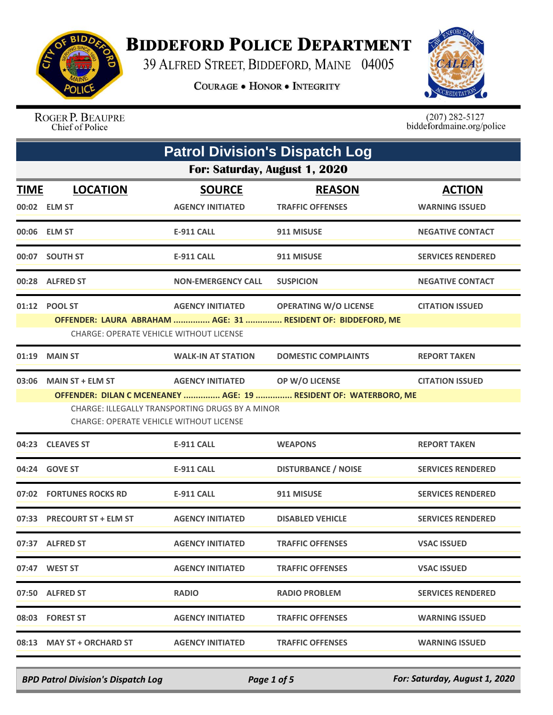

## **BIDDEFORD POLICE DEPARTMENT**

39 ALFRED STREET, BIDDEFORD, MAINE 04005

**COURAGE . HONOR . INTEGRITY** 



ROGER P. BEAUPRE Chief of Police

 $(207)$  282-5127<br>biddefordmaine.org/police

|             | <b>Patrol Division's Dispatch Log</b> |                                                                                                                                                    |                                                                                                        |                                        |  |  |
|-------------|---------------------------------------|----------------------------------------------------------------------------------------------------------------------------------------------------|--------------------------------------------------------------------------------------------------------|----------------------------------------|--|--|
|             | For: Saturday, August 1, 2020         |                                                                                                                                                    |                                                                                                        |                                        |  |  |
| <u>TIME</u> | <b>LOCATION</b><br>00:02 ELM ST       | <b>SOURCE</b><br><b>AGENCY INITIATED</b>                                                                                                           | <b>REASON</b><br><b>TRAFFIC OFFENSES</b>                                                               | <b>ACTION</b><br><b>WARNING ISSUED</b> |  |  |
|             | 00:06 ELM ST                          | E-911 CALL                                                                                                                                         | 911 MISUSE                                                                                             | <b>NEGATIVE CONTACT</b>                |  |  |
|             | 00:07 SOUTH ST                        | <b>E-911 CALL</b>                                                                                                                                  | 911 MISUSE                                                                                             | <b>SERVICES RENDERED</b>               |  |  |
|             | 00:28 ALFRED ST                       | <b>NON-EMERGENCY CALL</b>                                                                                                                          | <b>SUSPICION</b>                                                                                       | <b>NEGATIVE CONTACT</b>                |  |  |
|             | 01:12 POOL ST                         | <b>CHARGE: OPERATE VEHICLE WITHOUT LICENSE</b>                                                                                                     | AGENCY INITIATED OPERATING W/O LICENSE<br>OFFENDER: LAURA ABRAHAM  AGE: 31  RESIDENT OF: BIDDEFORD, ME | <b>CITATION ISSUED</b>                 |  |  |
|             | 01:19 MAIN ST                         | <b>WALK-IN AT STATION</b>                                                                                                                          | <b>DOMESTIC COMPLAINTS</b>                                                                             | <b>REPORT TAKEN</b>                    |  |  |
|             | 03:06 MAIN ST + ELM ST                | <b>AGENCY INITIATED OP W/O LICENSE</b><br><b>CHARGE: ILLEGALLY TRANSPORTING DRUGS BY A MINOR</b><br><b>CHARGE: OPERATE VEHICLE WITHOUT LICENSE</b> | OFFENDER: DILAN C MCENEANEY  AGE: 19  RESIDENT OF: WATERBORO, ME                                       | <b>CITATION ISSUED</b>                 |  |  |
|             | 04:23 CLEAVES ST                      | <b>E-911 CALL</b>                                                                                                                                  | <b>WEAPONS</b>                                                                                         | <b>REPORT TAKEN</b>                    |  |  |
|             | 04:24 GOVE ST                         | <b>E-911 CALL</b>                                                                                                                                  | <b>DISTURBANCE / NOISE</b>                                                                             | <b>SERVICES RENDERED</b>               |  |  |
|             | 07:02 FORTUNES ROCKS RD               | <b>E-911 CALL</b>                                                                                                                                  | 911 MISUSE                                                                                             | <b>SERVICES RENDERED</b>               |  |  |
|             | 07:33 PRECOURT ST + ELM ST            | <b>AGENCY INITIATED</b>                                                                                                                            | <b>DISABLED VEHICLE</b>                                                                                | <b>SERVICES RENDERED</b>               |  |  |
|             | 07:37 ALFRED ST                       | <b>AGENCY INITIATED</b>                                                                                                                            | <b>TRAFFIC OFFENSES</b>                                                                                | <b>VSAC ISSUED</b>                     |  |  |
|             | 07:47 WEST ST                         | <b>AGENCY INITIATED</b>                                                                                                                            | <b>TRAFFIC OFFENSES</b>                                                                                | <b>VSAC ISSUED</b>                     |  |  |
|             | 07:50 ALFRED ST                       | <b>RADIO</b>                                                                                                                                       | <b>RADIO PROBLEM</b>                                                                                   | <b>SERVICES RENDERED</b>               |  |  |
|             | 08:03 FOREST ST                       | <b>AGENCY INITIATED</b>                                                                                                                            | <b>TRAFFIC OFFENSES</b>                                                                                | <b>WARNING ISSUED</b>                  |  |  |
|             | 08:13 MAY ST + ORCHARD ST             | <b>AGENCY INITIATED</b>                                                                                                                            | <b>TRAFFIC OFFENSES</b>                                                                                | <b>WARNING ISSUED</b>                  |  |  |

*BPD Patrol Division's Dispatch Log Page 1 of 5 For: Saturday, August 1, 2020*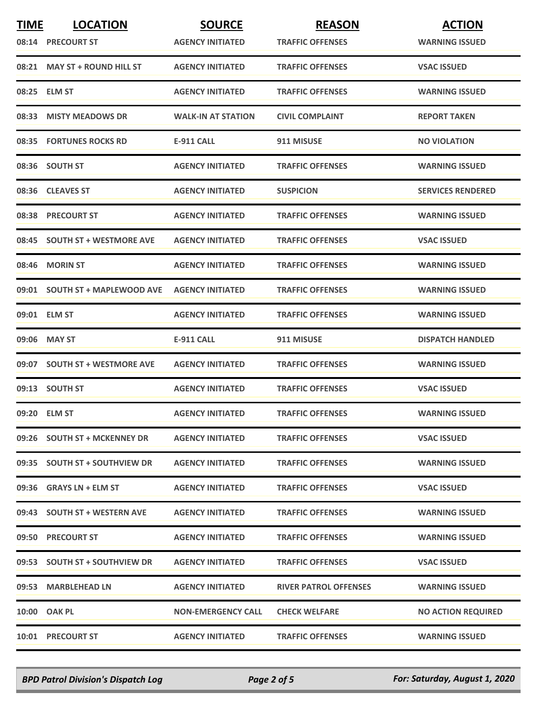| <b>TIME</b> | <b>LOCATION</b>                | <b>SOURCE</b>             | <b>REASON</b>                | <b>ACTION</b>             |
|-------------|--------------------------------|---------------------------|------------------------------|---------------------------|
|             | 08:14 PRECOURT ST              | <b>AGENCY INITIATED</b>   | <b>TRAFFIC OFFENSES</b>      | <b>WARNING ISSUED</b>     |
|             | 08:21 MAY ST + ROUND HILL ST   | <b>AGENCY INITIATED</b>   | <b>TRAFFIC OFFENSES</b>      | <b>VSAC ISSUED</b>        |
|             | 08:25 ELM ST                   | <b>AGENCY INITIATED</b>   | <b>TRAFFIC OFFENSES</b>      | <b>WARNING ISSUED</b>     |
|             | 08:33 MISTY MEADOWS DR         | <b>WALK-IN AT STATION</b> | <b>CIVIL COMPLAINT</b>       | <b>REPORT TAKEN</b>       |
|             | 08:35 FORTUNES ROCKS RD        | E-911 CALL                | 911 MISUSE                   | <b>NO VIOLATION</b>       |
|             | 08:36 SOUTH ST                 | <b>AGENCY INITIATED</b>   | <b>TRAFFIC OFFENSES</b>      | <b>WARNING ISSUED</b>     |
|             | 08:36 CLEAVES ST               | <b>AGENCY INITIATED</b>   | <b>SUSPICION</b>             | <b>SERVICES RENDERED</b>  |
|             | 08:38 PRECOURT ST              | <b>AGENCY INITIATED</b>   | <b>TRAFFIC OFFENSES</b>      | <b>WARNING ISSUED</b>     |
|             | 08:45 SOUTH ST + WESTMORE AVE  | <b>AGENCY INITIATED</b>   | <b>TRAFFIC OFFENSES</b>      | <b>VSAC ISSUED</b>        |
| 08:46       | <b>MORIN ST</b>                | <b>AGENCY INITIATED</b>   | <b>TRAFFIC OFFENSES</b>      | <b>WARNING ISSUED</b>     |
|             | 09:01 SOUTH ST + MAPLEWOOD AVE | <b>AGENCY INITIATED</b>   | <b>TRAFFIC OFFENSES</b>      | <b>WARNING ISSUED</b>     |
|             | 09:01 ELM ST                   | <b>AGENCY INITIATED</b>   | <b>TRAFFIC OFFENSES</b>      | <b>WARNING ISSUED</b>     |
|             | 09:06 MAY ST                   | <b>E-911 CALL</b>         | 911 MISUSE                   | <b>DISPATCH HANDLED</b>   |
|             | 09:07 SOUTH ST + WESTMORE AVE  | <b>AGENCY INITIATED</b>   | <b>TRAFFIC OFFENSES</b>      | <b>WARNING ISSUED</b>     |
|             | 09:13 SOUTH ST                 | <b>AGENCY INITIATED</b>   | <b>TRAFFIC OFFENSES</b>      | <b>VSAC ISSUED</b>        |
|             | 09:20 ELM ST                   | <b>AGENCY INITIATED</b>   | <b>TRAFFIC OFFENSES</b>      | <b>WARNING ISSUED</b>     |
|             | 09:26 SOUTH ST + MCKENNEY DR   | <b>AGENCY INITIATED</b>   | <b>TRAFFIC OFFENSES</b>      | <b>VSAC ISSUED</b>        |
|             | 09:35 SOUTH ST + SOUTHVIEW DR  | <b>AGENCY INITIATED</b>   | <b>TRAFFIC OFFENSES</b>      | <b>WARNING ISSUED</b>     |
|             | 09:36 GRAYS LN + ELM ST        | <b>AGENCY INITIATED</b>   | <b>TRAFFIC OFFENSES</b>      | <b>VSAC ISSUED</b>        |
|             | 09:43 SOUTH ST + WESTERN AVE   | <b>AGENCY INITIATED</b>   | <b>TRAFFIC OFFENSES</b>      | <b>WARNING ISSUED</b>     |
|             | 09:50 PRECOURT ST              | <b>AGENCY INITIATED</b>   | <b>TRAFFIC OFFENSES</b>      | <b>WARNING ISSUED</b>     |
|             | 09:53 SOUTH ST + SOUTHVIEW DR  | <b>AGENCY INITIATED</b>   | <b>TRAFFIC OFFENSES</b>      | <b>VSAC ISSUED</b>        |
|             | 09:53 MARBLEHEAD LN            | <b>AGENCY INITIATED</b>   | <b>RIVER PATROL OFFENSES</b> | <b>WARNING ISSUED</b>     |
|             | 10:00 OAK PL                   | <b>NON-EMERGENCY CALL</b> | <b>CHECK WELFARE</b>         | <b>NO ACTION REQUIRED</b> |
|             | <b>10:01 PRECOURT ST</b>       | <b>AGENCY INITIATED</b>   | <b>TRAFFIC OFFENSES</b>      | <b>WARNING ISSUED</b>     |

*BPD Patrol Division's Dispatch Log Page 2 of 5 For: Saturday, August 1, 2020*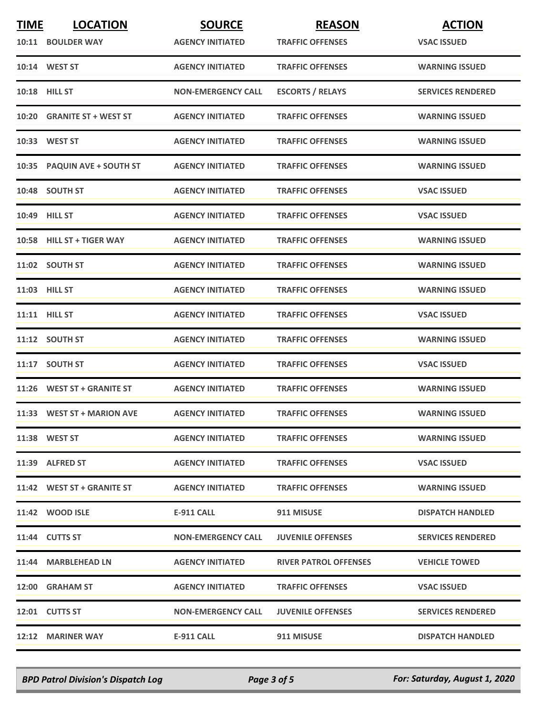| <b>TIME</b> | <b>LOCATION</b>             | <b>SOURCE</b>             | <b>REASON</b>                | <b>ACTION</b>            |
|-------------|-----------------------------|---------------------------|------------------------------|--------------------------|
|             | 10:11 BOULDER WAY           | <b>AGENCY INITIATED</b>   | <b>TRAFFIC OFFENSES</b>      | <b>VSAC ISSUED</b>       |
|             | 10:14 WEST ST               | <b>AGENCY INITIATED</b>   | <b>TRAFFIC OFFENSES</b>      | <b>WARNING ISSUED</b>    |
|             | <b>10:18 HILL ST</b>        | <b>NON-EMERGENCY CALL</b> | <b>ESCORTS / RELAYS</b>      | <b>SERVICES RENDERED</b> |
|             | 10:20 GRANITE ST + WEST ST  | <b>AGENCY INITIATED</b>   | <b>TRAFFIC OFFENSES</b>      | <b>WARNING ISSUED</b>    |
|             | 10:33 WEST ST               | <b>AGENCY INITIATED</b>   | <b>TRAFFIC OFFENSES</b>      | <b>WARNING ISSUED</b>    |
|             | 10:35 PAQUIN AVE + SOUTH ST | <b>AGENCY INITIATED</b>   | <b>TRAFFIC OFFENSES</b>      | <b>WARNING ISSUED</b>    |
|             | 10:48 SOUTH ST              | <b>AGENCY INITIATED</b>   | <b>TRAFFIC OFFENSES</b>      | <b>VSAC ISSUED</b>       |
|             | 10:49 HILL ST               | <b>AGENCY INITIATED</b>   | <b>TRAFFIC OFFENSES</b>      | <b>VSAC ISSUED</b>       |
|             | 10:58 HILL ST + TIGER WAY   | <b>AGENCY INITIATED</b>   | <b>TRAFFIC OFFENSES</b>      | <b>WARNING ISSUED</b>    |
|             | 11:02 SOUTH ST              | <b>AGENCY INITIATED</b>   | <b>TRAFFIC OFFENSES</b>      | <b>WARNING ISSUED</b>    |
|             | 11:03 HILL ST               | <b>AGENCY INITIATED</b>   | <b>TRAFFIC OFFENSES</b>      | <b>WARNING ISSUED</b>    |
|             | 11:11 HILL ST               | <b>AGENCY INITIATED</b>   | <b>TRAFFIC OFFENSES</b>      | <b>VSAC ISSUED</b>       |
|             | 11:12 SOUTH ST              | <b>AGENCY INITIATED</b>   | <b>TRAFFIC OFFENSES</b>      | <b>WARNING ISSUED</b>    |
|             | 11:17 SOUTH ST              | <b>AGENCY INITIATED</b>   | <b>TRAFFIC OFFENSES</b>      | <b>VSAC ISSUED</b>       |
|             | 11:26 WEST ST + GRANITE ST  | <b>AGENCY INITIATED</b>   | <b>TRAFFIC OFFENSES</b>      | <b>WARNING ISSUED</b>    |
|             | 11:33 WEST ST + MARION AVE  | <b>AGENCY INITIATED</b>   | <b>TRAFFIC OFFENSES</b>      | <b>WARNING ISSUED</b>    |
|             | 11:38 WEST ST               | <b>AGENCY INITIATED</b>   | <b>TRAFFIC OFFENSES</b>      | <b>WARNING ISSUED</b>    |
|             | 11:39 ALFRED ST             | <b>AGENCY INITIATED</b>   | <b>TRAFFIC OFFENSES</b>      | <b>VSAC ISSUED</b>       |
|             | 11:42 WEST ST + GRANITE ST  | <b>AGENCY INITIATED</b>   | <b>TRAFFIC OFFENSES</b>      | <b>WARNING ISSUED</b>    |
|             | 11:42 WOOD ISLE             | E-911 CALL                | 911 MISUSE                   | <b>DISPATCH HANDLED</b>  |
|             | 11:44 CUTTS ST              | <b>NON-EMERGENCY CALL</b> | <b>JUVENILE OFFENSES</b>     | <b>SERVICES RENDERED</b> |
|             | 11:44 MARBLEHEAD LN         | <b>AGENCY INITIATED</b>   | <b>RIVER PATROL OFFENSES</b> | <b>VEHICLE TOWED</b>     |
|             | 12:00 GRAHAM ST             | <b>AGENCY INITIATED</b>   | <b>TRAFFIC OFFENSES</b>      | <b>VSAC ISSUED</b>       |
|             | 12:01 CUTTS ST              | <b>NON-EMERGENCY CALL</b> | <b>JUVENILE OFFENSES</b>     | <b>SERVICES RENDERED</b> |
|             | 12:12 MARINER WAY           | E-911 CALL                | 911 MISUSE                   | <b>DISPATCH HANDLED</b>  |

*BPD Patrol Division's Dispatch Log Page 3 of 5 For: Saturday, August 1, 2020*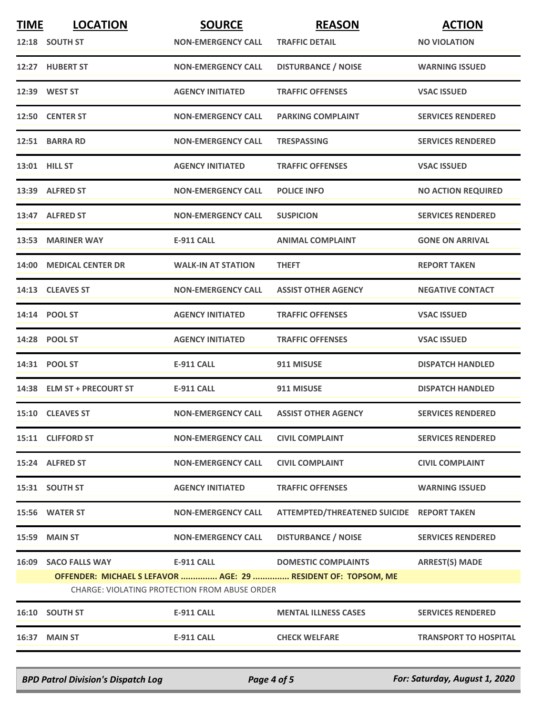| <b>TIME</b>                                          | <b>LOCATION</b>            | <b>SOURCE</b>             | <b>REASON</b>                                                 | <b>ACTION</b>                |  |
|------------------------------------------------------|----------------------------|---------------------------|---------------------------------------------------------------|------------------------------|--|
|                                                      | 12:18 SOUTH ST             | <b>NON-EMERGENCY CALL</b> | <b>TRAFFIC DETAIL</b>                                         | <b>NO VIOLATION</b>          |  |
|                                                      | 12:27 HUBERT ST            | <b>NON-EMERGENCY CALL</b> | <b>DISTURBANCE / NOISE</b>                                    | <b>WARNING ISSUED</b>        |  |
|                                                      | 12:39 WEST ST              | <b>AGENCY INITIATED</b>   | <b>TRAFFIC OFFENSES</b>                                       | <b>VSAC ISSUED</b>           |  |
|                                                      | 12:50 CENTER ST            | <b>NON-EMERGENCY CALL</b> | <b>PARKING COMPLAINT</b>                                      | <b>SERVICES RENDERED</b>     |  |
|                                                      | 12:51 BARRA RD             | <b>NON-EMERGENCY CALL</b> | <b>TRESPASSING</b>                                            | <b>SERVICES RENDERED</b>     |  |
|                                                      | 13:01 HILL ST              | <b>AGENCY INITIATED</b>   | <b>TRAFFIC OFFENSES</b>                                       | <b>VSAC ISSUED</b>           |  |
|                                                      | 13:39 ALFRED ST            | <b>NON-EMERGENCY CALL</b> | <b>POLICE INFO</b>                                            | <b>NO ACTION REQUIRED</b>    |  |
|                                                      | 13:47 ALFRED ST            | <b>NON-EMERGENCY CALL</b> | <b>SUSPICION</b>                                              | <b>SERVICES RENDERED</b>     |  |
|                                                      | 13:53 MARINER WAY          | <b>E-911 CALL</b>         | <b>ANIMAL COMPLAINT</b>                                       | <b>GONE ON ARRIVAL</b>       |  |
|                                                      | 14:00 MEDICAL CENTER DR    | <b>WALK-IN AT STATION</b> | <b>THEFT</b>                                                  | <b>REPORT TAKEN</b>          |  |
|                                                      | 14:13 CLEAVES ST           | <b>NON-EMERGENCY CALL</b> | <b>ASSIST OTHER AGENCY</b>                                    | <b>NEGATIVE CONTACT</b>      |  |
|                                                      | 14:14 POOL ST              | <b>AGENCY INITIATED</b>   | <b>TRAFFIC OFFENSES</b>                                       | <b>VSAC ISSUED</b>           |  |
|                                                      | 14:28 POOL ST              | <b>AGENCY INITIATED</b>   | <b>TRAFFIC OFFENSES</b>                                       | <b>VSAC ISSUED</b>           |  |
|                                                      | 14:31 POOL ST              | <b>E-911 CALL</b>         | 911 MISUSE                                                    | <b>DISPATCH HANDLED</b>      |  |
|                                                      | 14:38 ELM ST + PRECOURT ST | <b>E-911 CALL</b>         | 911 MISUSE                                                    | <b>DISPATCH HANDLED</b>      |  |
|                                                      | 15:10 CLEAVES ST           | <b>NON-EMERGENCY CALL</b> | <b>ASSIST OTHER AGENCY</b>                                    | <b>SERVICES RENDERED</b>     |  |
|                                                      | 15:11 CLIFFORD ST          | <b>NON-EMERGENCY CALL</b> | <b>CIVIL COMPLAINT</b>                                        | <b>SERVICES RENDERED</b>     |  |
|                                                      | 15:24 ALFRED ST            | <b>NON-EMERGENCY CALL</b> | <b>CIVIL COMPLAINT</b>                                        | <b>CIVIL COMPLAINT</b>       |  |
|                                                      | 15:31 SOUTH ST             | <b>AGENCY INITIATED</b>   | <b>TRAFFIC OFFENSES</b>                                       | <b>WARNING ISSUED</b>        |  |
|                                                      | 15:56 WATER ST             | <b>NON-EMERGENCY CALL</b> | ATTEMPTED/THREATENED SUICIDE REPORT TAKEN                     |                              |  |
|                                                      | 15:59 MAIN ST              | <b>NON-EMERGENCY CALL</b> | <b>DISTURBANCE / NOISE</b>                                    | <b>SERVICES RENDERED</b>     |  |
|                                                      | 16:09 SACO FALLS WAY       | E-911 CALL                | <b>DOMESTIC COMPLAINTS</b>                                    | <b>ARREST(S) MADE</b>        |  |
|                                                      |                            |                           | OFFENDER: MICHAEL S LEFAVOR  AGE: 29  RESIDENT OF: TOPSOM, ME |                              |  |
| <b>CHARGE: VIOLATING PROTECTION FROM ABUSE ORDER</b> |                            |                           |                                                               |                              |  |
|                                                      | 16:10 SOUTH ST             | <b>E-911 CALL</b>         | <b>MENTAL ILLNESS CASES</b>                                   | <b>SERVICES RENDERED</b>     |  |
|                                                      | 16:37 MAIN ST              | <b>E-911 CALL</b>         | <b>CHECK WELFARE</b>                                          | <b>TRANSPORT TO HOSPITAL</b> |  |
|                                                      |                            |                           |                                                               |                              |  |

*BPD Patrol Division's Dispatch Log Page 4 of 5 For: Saturday, August 1, 2020*